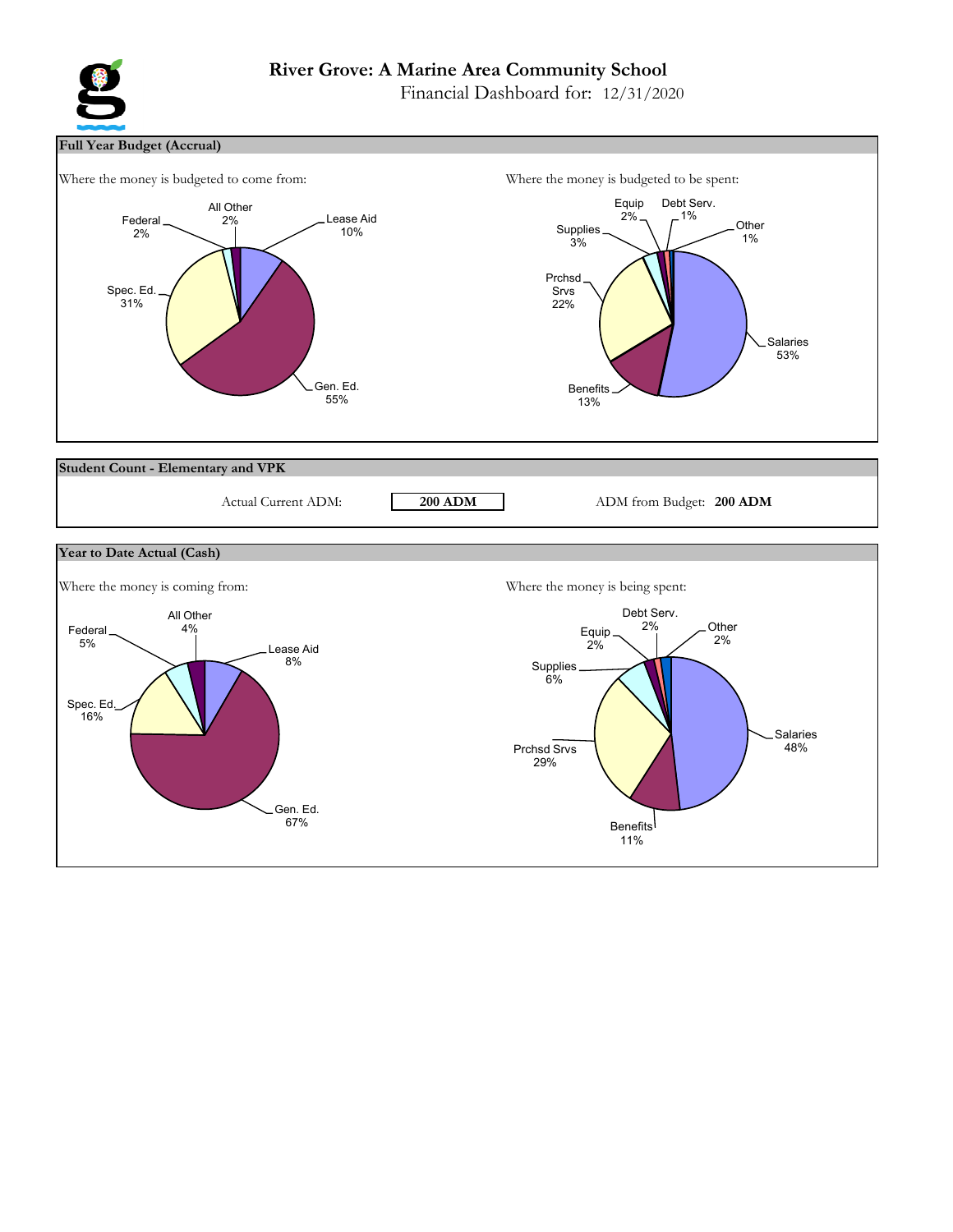# **River Grove: A Marine Area Community School**

Financial Dashboard for: 12/31/2020



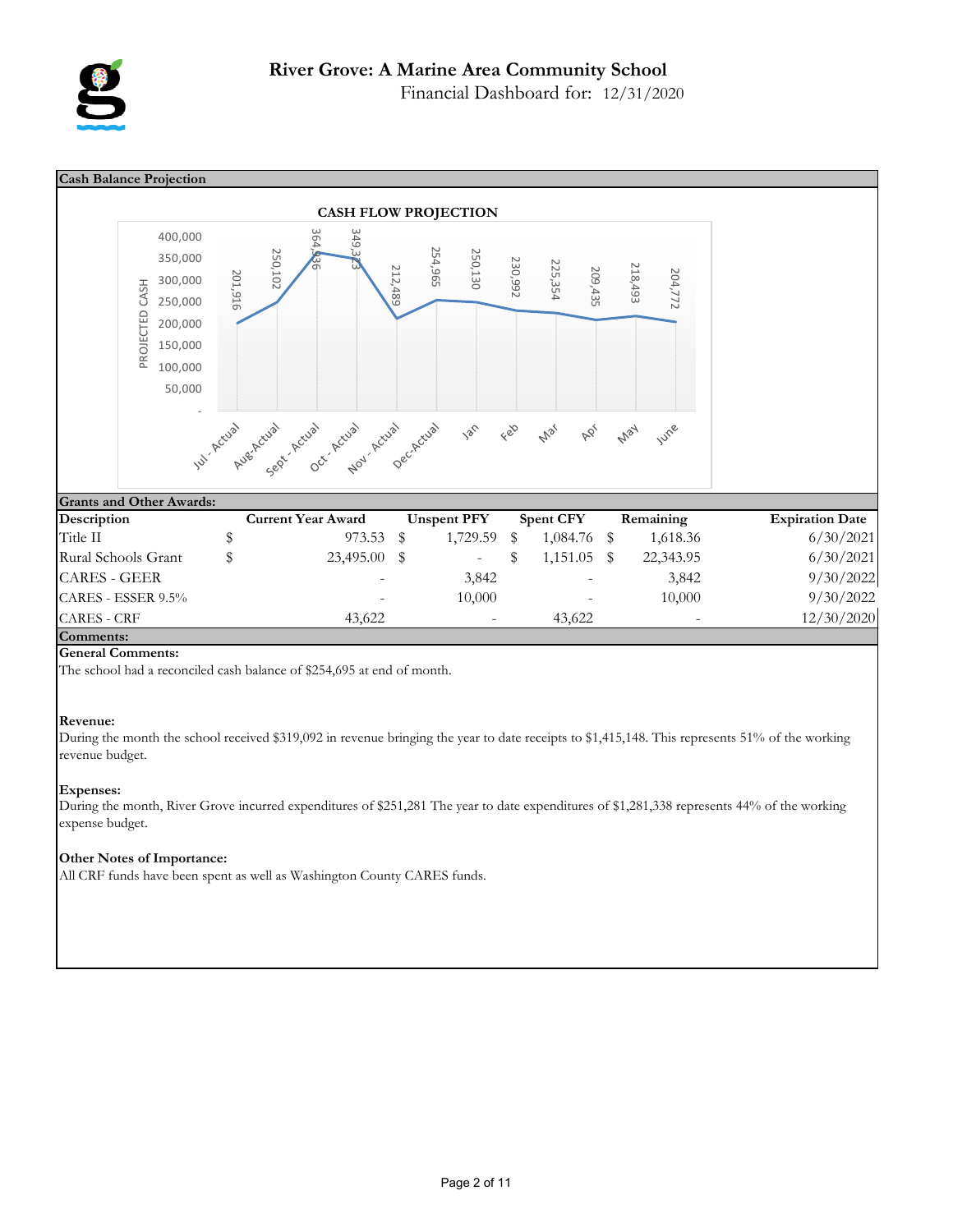

**Cash Balance Projection CASH FLOW PROJECTION** 364,936 400,000 349 254,965 250,130 350,000 250,102 230,992 225,354 218,493 209,435 212,489 204,772 201,916 300,000 PROJECTED CASH PROJECTED CASH 250,000 200,000 150,000 100,000 50,000 Nov- Actual Oct- Actual Jul. Actual Augenctual Sept. Actual Ual Actual 186 June Feb **May Mar** ADY **Grants and Other Awards: Description Current Year Award Unspent PFY Spent CFY Remaining Expiration Date** Title II  $\frac{$(20,100)(10,100)}{1}$   $\frac{$(20,100)(10,100)(10,100)}{1}$   $\frac{$(20,100)(10,100)(10,100)(10,100)}{1}$   $\frac{$(20,100)(10,100)(10,100)(10,100)(10,100)(10,100)(10,100)(10,100)(10,100)(10,100)(10,100)(10,100)(10,100)(10,100)(10,100)(10,100)(10$ Rural Schools Grant  $\frac{1}{2}$   $\frac{23,495.00}{1}$   $\frac{1}{2}$   $\frac{1}{151.05}$   $\frac{22,343.95}{22,343.95}$  6/30/2021 CARES - GEER - 3,842 - 3,842 3,842 9/30/2022 CARES - ESSER 9.5% **- 10,000** - 10,000 - 10,000 9/30/2022  $CARES - CRF$  43,622 - 43,622 - 43,622 12/30/2020 **Comments:**

#### **General Comments:**

The school had a reconciled cash balance of \$254,695 at end of month.

#### **Revenue:**

During the month the school received \$319,092 in revenue bringing the year to date receipts to \$1,415,148. This represents 51% of the working revenue budget.

#### **Expenses:**

During the month, River Grove incurred expenditures of \$251,281 The year to date expenditures of \$1,281,338 represents 44% of the working expense budget.

#### **Other Notes of Importance:**

All CRF funds have been spent as well as Washington County CARES funds.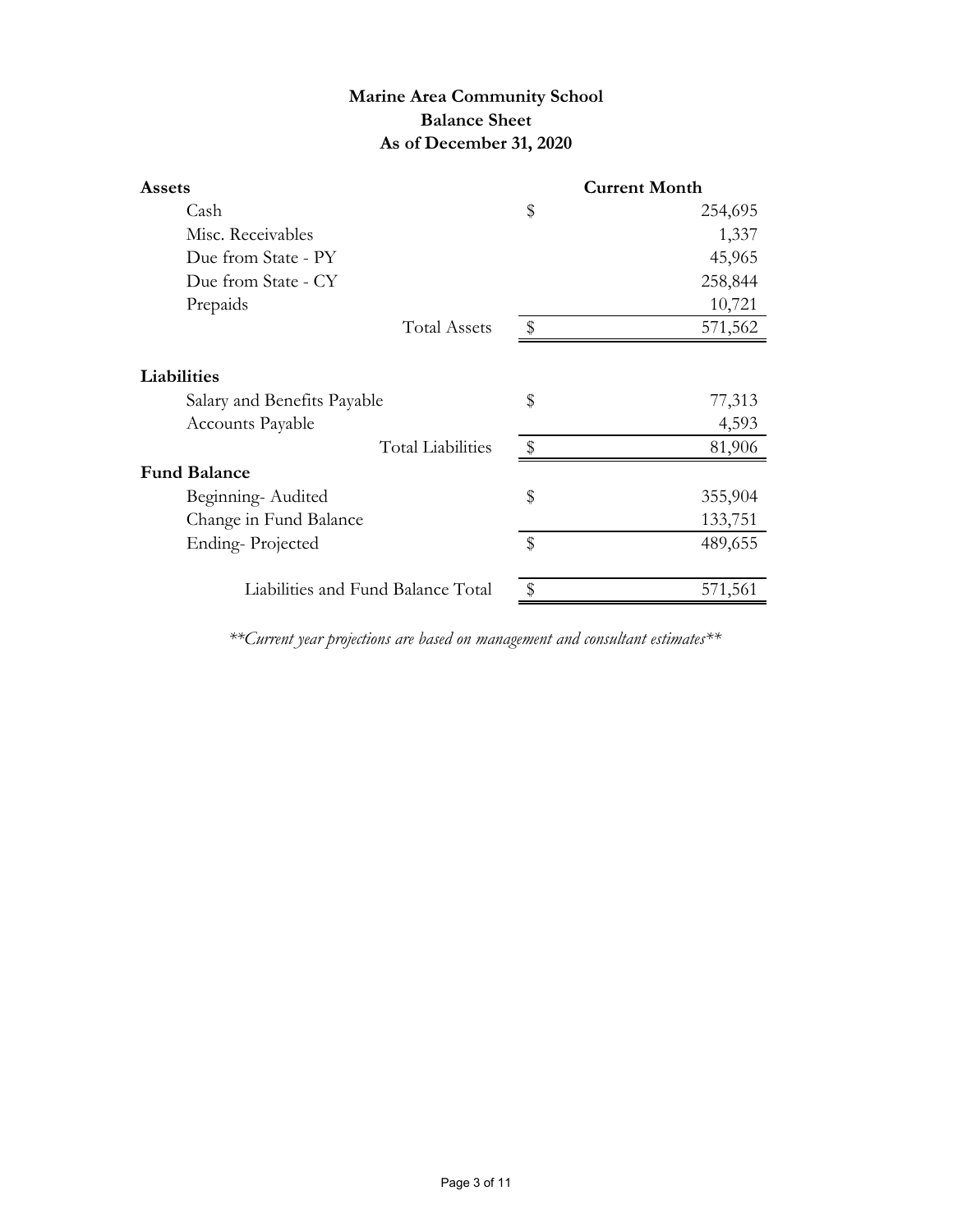# **Marine Area Community School Balance Sheet As of December 31, 2020**

| <b>Assets</b>                      |               | <b>Current Month</b> |
|------------------------------------|---------------|----------------------|
| Cash                               | \$            | 254,695              |
| Misc. Receivables                  |               | 1,337                |
| Due from State - PY                |               | 45,965               |
| Due from State - CY                |               | 258,844              |
| Prepaids                           |               | 10,721               |
| <b>Total Assets</b>                | -\$           | 571,562              |
| Liabilities                        |               |                      |
| Salary and Benefits Payable        | \$            | 77,313               |
| Accounts Payable                   |               | 4,593                |
| <b>Total Liabilities</b>           | $\frac{1}{2}$ | 81,906               |
| <b>Fund Balance</b>                |               |                      |
| Beginning-Audited                  | \$            | 355,904              |
| Change in Fund Balance             |               | 133,751              |
| Ending-Projected                   | \$            | 489,655              |
| Liabilities and Fund Balance Total |               | 571,561              |

*\*\*Current year projections are based on management and consultant estimates\*\**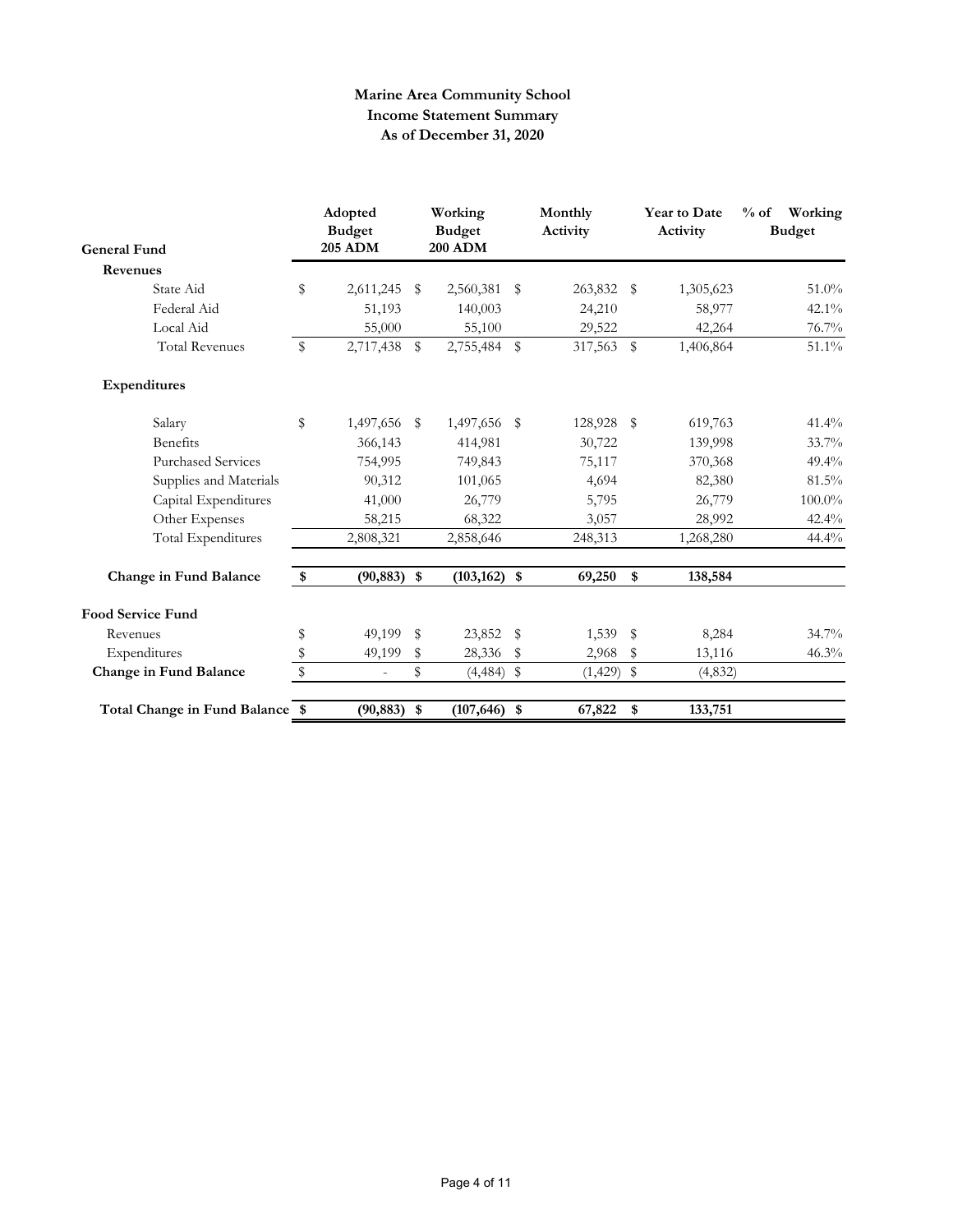## **Marine Area Community School Income Statement Summary As of December 31, 2020**

| <b>General Fund</b>             |             | Adopted<br><b>Budget</b><br><b>205 ADM</b> | Working<br><b>Budget</b><br><b>200 ADM</b> | Monthly<br>Activity |              | <b>Year to Date</b><br>Activity | $%$ of<br>Working<br><b>Budget</b> |
|---------------------------------|-------------|--------------------------------------------|--------------------------------------------|---------------------|--------------|---------------------------------|------------------------------------|
| Revenues                        |             |                                            |                                            |                     |              |                                 |                                    |
| State Aid                       | \$          | 2,611,245                                  | \$<br>2,560,381                            | \$<br>263,832 \$    |              | 1,305,623                       | $51.0\%$                           |
| Federal Aid                     |             | 51,193                                     | 140,003                                    | 24,210              |              | 58,977                          | $42.1\%$                           |
| Local Aid                       |             | 55,000                                     | 55,100                                     | 29,522              |              | 42,264                          | 76.7%                              |
| <b>Total Revenues</b>           | \$          | 2,717,438 \$                               | 2,755,484 \$                               | 317,563             | $\mathbb{S}$ | 1,406,864                       | 51.1%                              |
| Expenditures                    |             |                                            |                                            |                     |              |                                 |                                    |
| Salary                          | \$          | 1,497,656 \$                               | 1,497,656 \$                               | 128,928 \$          |              | 619,763                         | 41.4%                              |
| <b>Benefits</b>                 |             | 366,143                                    | 414,981                                    | 30,722              |              | 139,998                         | 33.7%                              |
| <b>Purchased Services</b>       |             | 754,995                                    | 749,843                                    | 75,117              |              | 370,368                         | $49.4\%$                           |
| Supplies and Materials          |             | 90,312                                     | 101,065                                    | 4,694               |              | 82,380                          | 81.5%                              |
| Capital Expenditures            |             | 41,000                                     | 26,779                                     | 5,795               |              | 26,779                          | 100.0%                             |
| Other Expenses                  |             | 58,215                                     | 68,322                                     | 3,057               |              | 28,992                          | 42.4%                              |
| Total Expenditures              |             | 2,808,321                                  | 2,858,646                                  | 248,313             |              | 1,268,280                       | 44.4%                              |
| Change in Fund Balance          | \$          | $(90, 883)$ \$                             | $(103, 162)$ \$                            | 69,250              | \$           | 138,584                         |                                    |
| <b>Food Service Fund</b>        |             |                                            |                                            |                     |              |                                 |                                    |
| Revenues                        | \$          | 49,199 \$                                  | 23,852 \$                                  | 1,539 \$            |              | 8,284                           | $34.7\%$                           |
| Expenditures                    | \$          | 49,199                                     | \$<br>28,336                               | \$<br>2,968         | \$           | 13,116                          | 46.3%                              |
| Change in Fund Balance          | $\mathbb S$ | $\overline{\phantom{a}}$                   | \$<br>$(4,484)$ \$                         | $(1,429)$ \$        |              | (4,832)                         |                                    |
| Total Change in Fund Balance \$ |             | $(90, 883)$ \$                             | $(107, 646)$ \$                            | 67,822              | \$           | 133,751                         |                                    |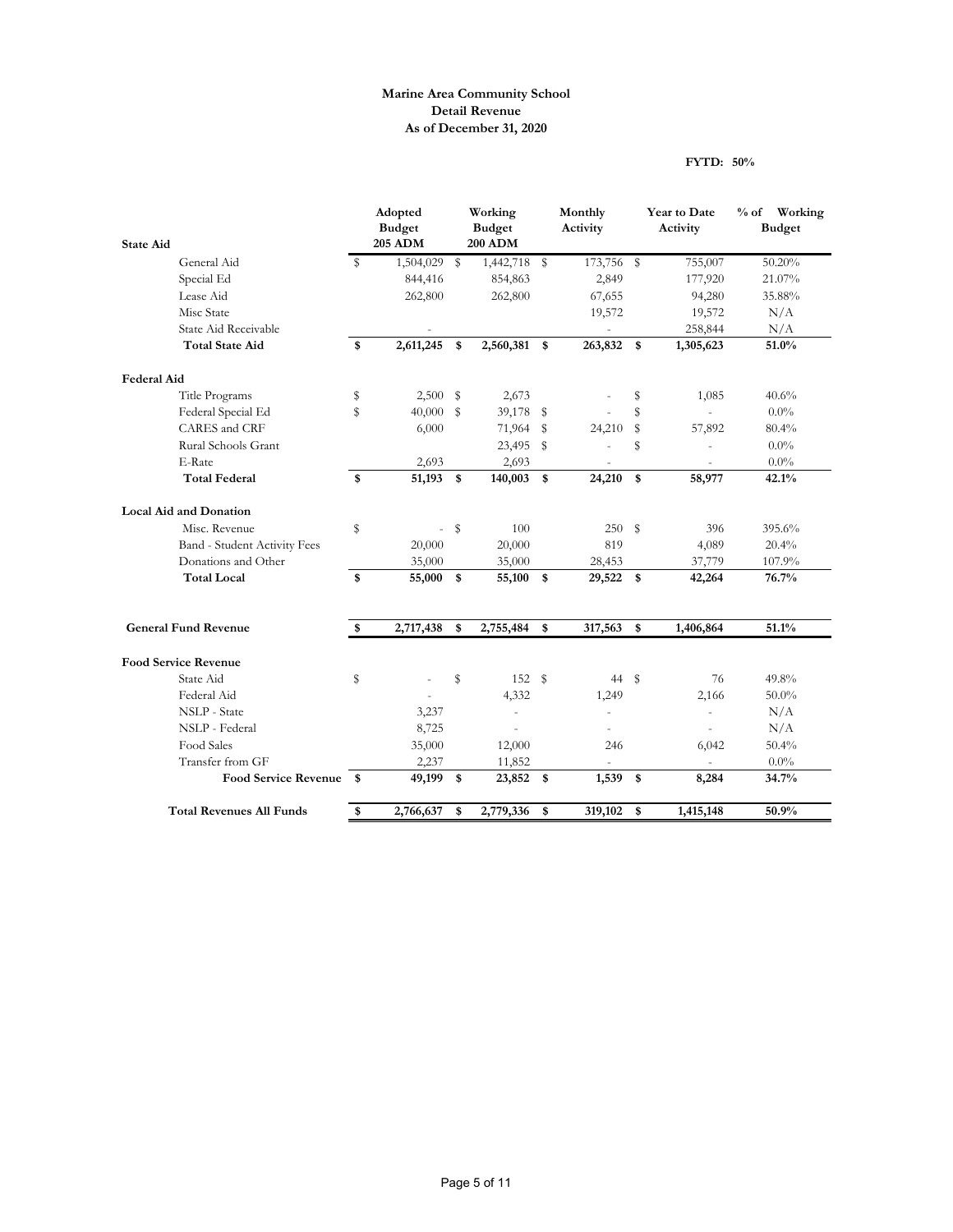### **Marine Area Community School Detail Revenue As of December 31, 2020**

#### **FYTD: 50%**

|                                 |              | Adopted<br><b>Budget</b><br>205 ADM |               | Working<br><b>Budget</b><br><b>200 ADM</b> |            | Monthly<br>Activity      |    | Year to Date<br>Activity | % of Working<br><b>Budget</b> |
|---------------------------------|--------------|-------------------------------------|---------------|--------------------------------------------|------------|--------------------------|----|--------------------------|-------------------------------|
| <b>State Aid</b>                |              |                                     |               |                                            |            |                          |    |                          |                               |
| General Aid<br>Special Ed       | S            | 1,504,029                           | \$            | 1,442,718                                  | $^{\circ}$ | 173,756 \$               |    | 755,007                  | 50.20%<br>21.07%              |
| Lease Aid                       |              | 844,416                             |               | 854,863                                    |            | 2,849                    |    | 177,920                  |                               |
| Misc State                      |              | 262,800                             |               | 262,800                                    |            | 67,655                   |    | 94,280                   | 35.88%                        |
| State Aid Receivable            |              |                                     |               |                                            |            | 19,572                   |    | 19,572                   | N/A                           |
| <b>Total State Aid</b>          | \$           | 2,611,245                           | \$            | 2,560,381 \$                               |            | 263,832                  | \$ | 258,844<br>1,305,623     | N/A<br>51.0%                  |
|                                 |              |                                     |               |                                            |            |                          |    |                          |                               |
| <b>Federal Aid</b>              |              |                                     |               |                                            |            |                          |    |                          |                               |
| Title Programs                  | \$           | 2,500                               | $\sqrt[6]{2}$ | 2,673                                      |            |                          | \$ | 1,085                    | 40.6%                         |
| Federal Special Ed              | $\mathbb{S}$ | 40,000                              | \$            | 39,178                                     | \$         |                          | \$ |                          | $0.0\%$                       |
| <b>CARES</b> and CRF            |              | 6,000                               |               | 71,964                                     | s          | 24,210                   | \$ | 57,892                   | 80.4%                         |
| Rural Schools Grant             |              |                                     |               | 23,495                                     | s          |                          | S  |                          | 0.0%                          |
| E-Rate                          |              | 2,693                               |               | 2,693                                      |            |                          |    |                          | $0.0\%$                       |
| <b>Total Federal</b>            | \$           | 51,193                              | \$            | 140,003                                    | <b>S</b>   | 24,210                   | \$ | 58,977                   | 42.1%                         |
| <b>Local Aid and Donation</b>   |              |                                     |               |                                            |            |                          |    |                          |                               |
| Misc. Revenue                   | \$           | $\overline{\phantom{a}}$            | $\sqrt[6]{2}$ | 100                                        |            | 250S                     |    | 396                      | 395.6%                        |
| Band - Student Activity Fees    |              | 20,000                              |               | 20,000                                     |            | 819                      |    | 4,089                    | 20.4%                         |
| Donations and Other             |              | 35,000                              |               | 35,000                                     |            | 28,453                   |    | 37,779                   | 107.9%                        |
| <b>Total Local</b>              | \$           | 55,000                              | \$            | 55,100                                     | \$         | 29,522                   | \$ | 42,264                   | 76.7%                         |
| <b>General Fund Revenue</b>     | \$           | 2,717,438                           | \$            | 2,755,484                                  | \$         | 317,563                  | \$ | 1,406,864                | 51.1%                         |
|                                 |              |                                     |               |                                            |            |                          |    |                          |                               |
| <b>Food Service Revenue</b>     |              |                                     |               |                                            |            |                          |    |                          |                               |
| State Aid                       | \$           |                                     | \$            | 152 \$                                     |            | 44 \$                    |    | 76                       | 49.8%                         |
| Federal Aid                     |              |                                     |               | 4,332                                      |            | 1,249                    |    | 2,166                    | $50.0\%$                      |
| NSLP - State                    |              | 3,237                               |               | $\blacksquare$                             |            | $\overline{\phantom{a}}$ |    | $\blacksquare$           | N/A                           |
| NSLP - Federal                  |              | 8,725                               |               |                                            |            | ä,                       |    |                          | N/A                           |
| Food Sales                      |              | 35,000                              |               | 12,000                                     |            | 246                      |    | 6,042                    | 50.4%                         |
| Transfer from GF                |              | 2,237                               |               | 11,852                                     |            |                          |    |                          | $0.0\%$                       |
| Food Service Revenue \$         |              | 49,199                              | \$            | 23,852 \$                                  |            | $1,539$ \$               |    | 8,284                    | 34.7%                         |
| <b>Total Revenues All Funds</b> | \$           | 2,766,637                           | \$            | 2,779,336                                  | \$         | 319,102                  | \$ | 1,415,148                | 50.9%                         |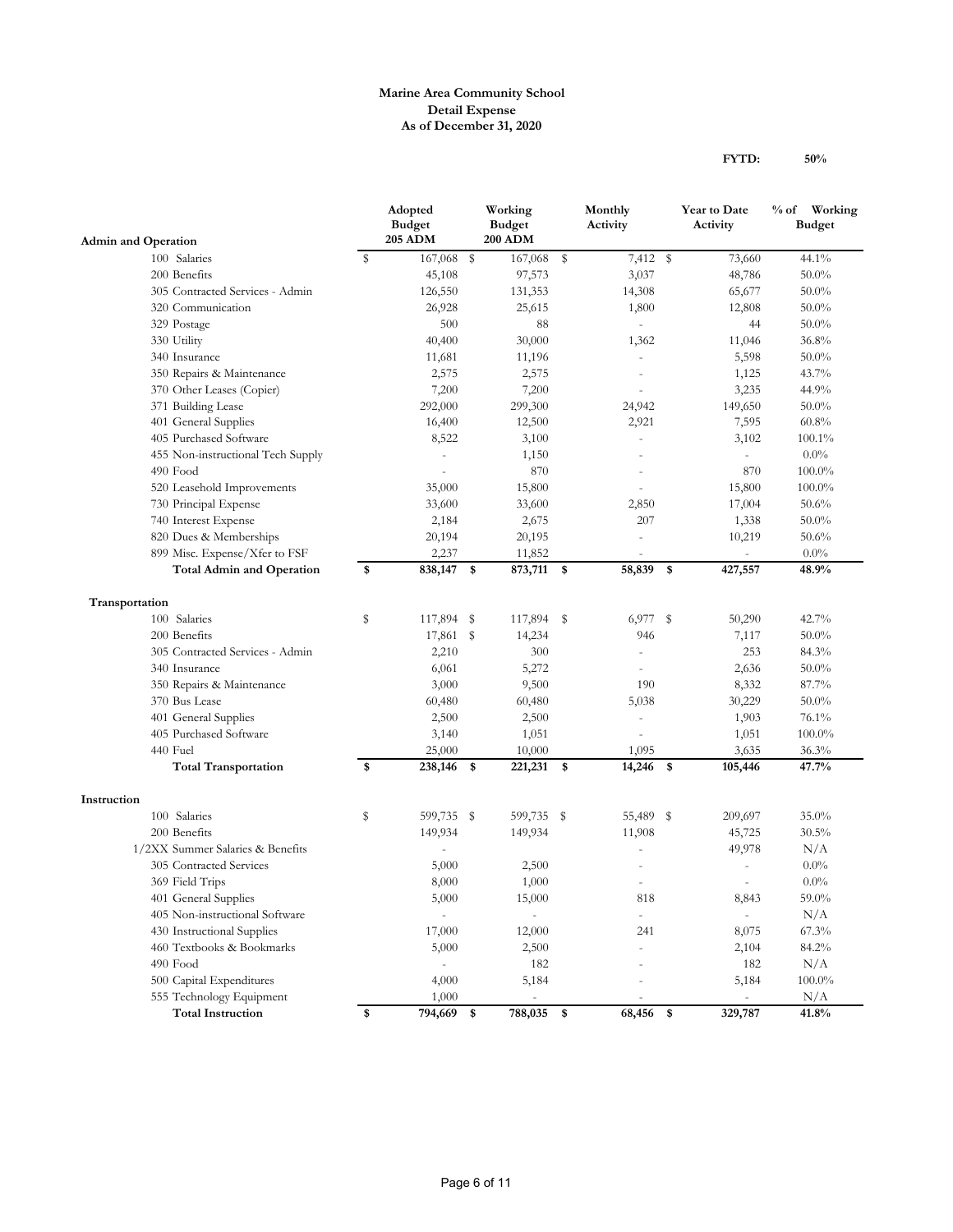#### **Marine Area Community School Detail Expense As of December 31, 2020**

|                                                              |    | Adopted<br><b>Budget</b><br><b>205 ADM</b> |    | Working<br><b>Budget</b><br><b>200 ADM</b> |            | Monthly<br>Activity   |      | <b>Year to Date</b><br>Activity     | % of Working<br><b>Budget</b> |
|--------------------------------------------------------------|----|--------------------------------------------|----|--------------------------------------------|------------|-----------------------|------|-------------------------------------|-------------------------------|
| <b>Admin and Operation</b>                                   |    | 167,068 \$                                 |    |                                            |            |                       |      |                                     |                               |
| 100 Salaries                                                 | S  |                                            |    | 167,068                                    | \$         | 7,412 \$              |      | 73,660                              | 44.1%                         |
| 200 Benefits                                                 |    | 45,108                                     |    | 97,573                                     |            | 3,037                 |      | 48,786                              | 50.0%                         |
| 305 Contracted Services - Admin                              |    | 126,550                                    |    | 131,353                                    |            | 14,308                |      | 65,677                              | $50.0\%$                      |
| 320 Communication                                            |    | 26,928                                     |    | 25,615                                     |            | 1,800                 |      | 12,808                              | $50.0\%$                      |
| 329 Postage                                                  |    | 500                                        |    | 88                                         |            |                       |      | 44                                  | $50.0\%$                      |
| 330 Utility                                                  |    | 40,400                                     |    | 30,000                                     |            | 1,362                 |      | 11,046                              | 36.8%                         |
| 340 Insurance                                                |    | 11,681                                     |    | 11,196                                     |            |                       |      | 5,598                               | $50.0\%$                      |
| 350 Repairs & Maintenance                                    |    | 2,575                                      |    | 2,575                                      |            |                       |      | 1,125                               | 43.7%                         |
| 370 Other Leases (Copier)                                    |    | 7,200                                      |    | 7,200                                      |            | $\bar{a}$             |      | 3,235                               | 44.9%                         |
| 371 Building Lease                                           |    | 292,000                                    |    | 299,300                                    |            | 24,942                |      | 149,650                             | $50.0\%$                      |
| 401 General Supplies                                         |    | 16,400                                     |    | 12,500                                     |            | 2,921                 |      | 7,595                               | 60.8%                         |
| 405 Purchased Software                                       |    | 8,522                                      |    | 3,100                                      |            |                       |      | 3,102                               | 100.1%                        |
| 455 Non-instructional Tech Supply                            |    |                                            |    | 1,150                                      |            |                       |      |                                     | $0.0\%$                       |
| 490 Food                                                     |    |                                            |    | 870                                        |            |                       |      | 870                                 | $100.0\%$                     |
| 520 Leasehold Improvements                                   |    | 35,000                                     |    | 15,800                                     |            |                       |      | 15,800                              | $100.0\%$                     |
| 730 Principal Expense                                        |    | 33,600                                     |    | 33,600                                     |            | 2,850                 |      | 17,004                              | 50.6%                         |
| 740 Interest Expense                                         |    | 2,184                                      |    | 2,675                                      |            | 207                   |      | 1,338                               | $50.0\%$                      |
| 820 Dues & Memberships                                       |    | 20,194                                     |    | 20,195                                     |            |                       |      | 10,219                              | 50.6%                         |
| 899 Misc. Expense/Xfer to FSF                                |    | 2,237                                      |    | 11,852                                     |            |                       |      | $\omega$                            | $0.0\%$                       |
| <b>Total Admin and Operation</b>                             | \$ | 838,147                                    | \$ | 873,711 \$                                 |            | 58,839 \$             |      | 427,557                             | 48.9%                         |
| Transportation                                               |    |                                            |    |                                            |            |                       |      |                                     |                               |
| 100 Salaries                                                 | s  | 117,894                                    | S  | 117,894 \$                                 |            | 6,977                 | s    | 50,290                              | 42.7%                         |
| 200 Benefits                                                 |    | 17,861 \$                                  |    | 14,234                                     |            | 946                   |      | 7,117                               | $50.0\%$                      |
| 305 Contracted Services - Admin                              |    | 2,210                                      |    | 300                                        |            |                       |      | 253                                 | 84.3%                         |
| 340 Insurance                                                |    | 6,061                                      |    | 5,272                                      |            |                       |      | 2,636                               | $50.0\%$                      |
| 350 Repairs & Maintenance                                    |    | 3,000                                      |    | 9,500                                      |            | 190                   |      | 8,332                               | 87.7%                         |
| 370 Bus Lease                                                |    | 60,480                                     |    | 60,480                                     |            | 5,038                 |      | 30,229                              | $50.0\%$                      |
| 401 General Supplies                                         |    | 2,500                                      |    | 2,500                                      |            | $\overline{a}$        |      | 1,903                               | 76.1%                         |
| 405 Purchased Software                                       |    | 3,140                                      |    | 1,051                                      |            |                       |      | 1,051                               | 100.0%                        |
| 440 Fuel                                                     |    | 25,000                                     |    | 10,000                                     |            | 1,095                 |      | 3,635                               | 36.3%                         |
| <b>Total Transportation</b>                                  | \$ | 238,146                                    | \$ | 221,231                                    | $^{\circ}$ | 14,246                | - \$ | 105,446                             | 47.7%                         |
|                                                              |    |                                            |    |                                            |            |                       |      |                                     |                               |
| Instruction<br>100 Salaries                                  | \$ | 599,735 \$                                 |    | 599,735 \$                                 |            | 55,489 \$             |      | 209,697                             | 35.0%                         |
| 200 Benefits                                                 |    | 149,934                                    |    | 149,934                                    |            | 11,908                |      | 45,725                              | 30.5%                         |
| 1/2XX Summer Salaries & Benefits                             |    |                                            |    |                                            |            |                       |      | 49,978                              | N/A                           |
| 305 Contracted Services                                      |    | 5,000                                      |    | 2,500                                      |            |                       |      |                                     | $0.0\%$                       |
| 369 Field Trips                                              |    | 8,000                                      |    | 1,000                                      |            |                       |      | $\sim$                              | $0.0\%$                       |
| 401 General Supplies                                         |    | 5,000                                      |    | 15,000                                     |            | $818\,$               |      | 8,843                               | $59.0\%$                      |
|                                                              |    |                                            |    | $\overline{\phantom{a}}$                   |            |                       |      |                                     | N/A                           |
| 405 Non-instructional Software<br>430 Instructional Supplies |    | 17,000                                     |    | 12,000                                     |            | $\blacksquare$<br>241 |      | 8,075                               | 67.3%                         |
|                                                              |    |                                            |    |                                            |            |                       |      |                                     |                               |
| 460 Textbooks & Bookmarks<br>490 Food                        |    | 5,000                                      |    | 2,500                                      |            |                       |      | 2,104                               | 84.2%                         |
|                                                              |    | $\qquad \qquad \blacksquare$               |    | 182                                        |            |                       |      | 182                                 | $\rm N/A$                     |
| 500 Capital Expenditures                                     |    | 4,000                                      |    | 5,184                                      |            |                       |      | 5,184                               | $100.0\%$                     |
| 555 Technology Equipment<br><b>Total Instruction</b>         | \$ | 1,000<br>794,669                           | \$ | $\blacksquare$<br>788,035                  | -\$        | $\sim$<br>68,456 \$   |      | $\overline{\phantom{a}}$<br>329,787 | N/A<br>41.8%                  |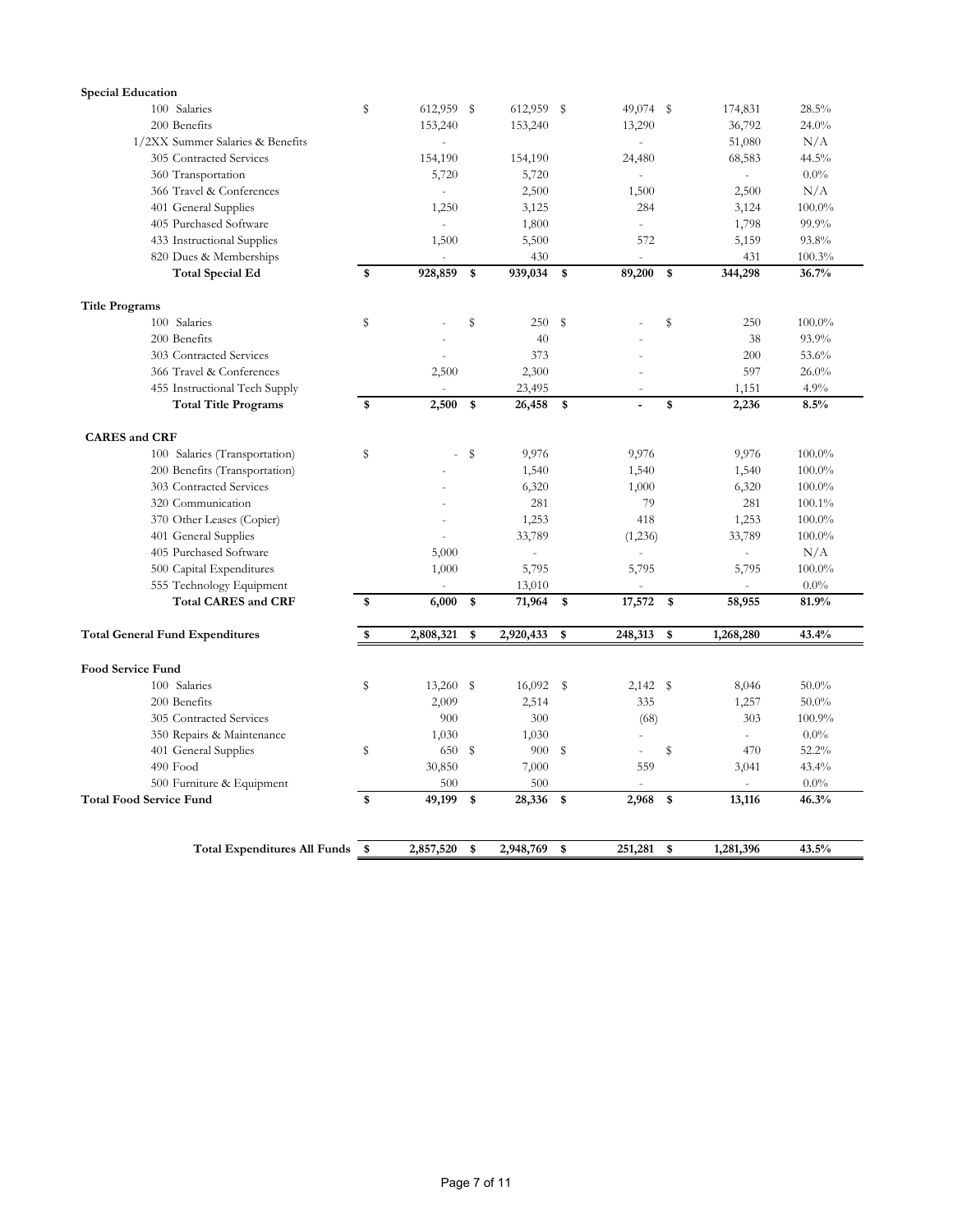| <b>Special Education</b>               |      |            |                 |                      |                           |                |           |
|----------------------------------------|------|------------|-----------------|----------------------|---------------------------|----------------|-----------|
| 100 Salaries                           | S    | 612,959 \$ | 612,959 \$      | 49,074 \$            |                           | 174,831        | 28.5%     |
| 200 Benefits                           |      | 153,240    | 153,240         | 13,290               |                           | 36,792         | 24.0%     |
| 1/2XX Summer Salaries & Benefits       |      | L.         |                 | ÷,                   |                           | 51,080         | N/A       |
| 305 Contracted Services                |      | 154,190    | 154,190         | 24,480               |                           | 68,583         | 44.5%     |
| 360 Transportation                     |      | 5,720      | 5,720           | ÷,                   |                           | $\equiv$       | $0.0\%$   |
| 366 Travel & Conferences               |      |            | 2,500           | 1,500                |                           | 2,500          | N/A       |
| 401 General Supplies                   |      | 1,250      | 3,125           | 284                  |                           | 3,124          | $100.0\%$ |
| 405 Purchased Software                 |      | $\sim$     | 1,800           | $\sim$               |                           | 1,798          | 99.9%     |
| 433 Instructional Supplies             |      | 1,500      | 5,500           | 572                  |                           | 5,159          | 93.8%     |
| 820 Dues & Memberships                 |      |            | 430             |                      |                           | 431            | 100.3%    |
| <b>Total Special Ed</b>                | \$   | 928,859    | \$<br>939,034   | \$<br>89,200         | $\boldsymbol{\mathsf{s}}$ | 344,298        | 36.7%     |
| <b>Title Programs</b>                  |      |            |                 |                      |                           |                |           |
| 100 Salaries                           | S    |            | \$<br>250       | \$                   | s                         | 250            | $100.0\%$ |
| 200 Benefits                           |      |            | 40              |                      |                           | 38             | 93.9%     |
| 303 Contracted Services                |      |            | 373             |                      |                           | 200            | 53.6%     |
| 366 Travel & Conferences               |      | 2,500      | 2,300           |                      |                           | 597            | 26.0%     |
| 455 Instructional Tech Supply          |      |            | 23,495          |                      |                           | 1,151          | 4.9%      |
| <b>Total Title Programs</b>            | \$   | 2,500      | \$<br>26,458    | \$<br>$\overline{a}$ | \$                        | 2,236          | 8.5%      |
| <b>CARES</b> and CRF                   |      |            |                 |                      |                           |                |           |
| 100 Salaries (Transportation)          | s    |            | \$<br>9,976     | 9,976                |                           | 9,976          | $100.0\%$ |
| 200 Benefits (Transportation)          |      |            | 1,540           | 1,540                |                           | 1,540          | $100.0\%$ |
| 303 Contracted Services                |      |            | 6,320           | 1,000                |                           | 6,320          | $100.0\%$ |
| 320 Communication                      |      |            | 281             | 79                   |                           | 281            | 100.1%    |
| 370 Other Leases (Copier)              |      |            | 1,253           | 418                  |                           | 1,253          | $100.0\%$ |
| 401 General Supplies                   |      |            | 33,789          | (1,236)              |                           | 33,789         | $100.0\%$ |
| 405 Purchased Software                 |      | 5,000      | $\frac{1}{2}$   |                      |                           | L.             | N/A       |
| 500 Capital Expenditures               |      | 1,000      | 5,795           | 5,795                |                           | 5,795          | 100.0%    |
| 555 Technology Equipment               |      |            | 13,010          |                      |                           | $\overline{a}$ | 0.0%      |
| <b>Total CARES and CRF</b>             | \$   | 6,000      | \$<br>71,964    | \$<br>17,572         | \$                        | 58,955         | 81.9%     |
| <b>Total General Fund Expenditures</b> | \$   | 2,808,321  | \$<br>2,920,433 | \$<br>248,313        | \$                        | 1,268,280      | 43.4%     |
|                                        |      |            |                 |                      |                           |                |           |
| <b>Food Service Fund</b>               |      |            |                 |                      |                           |                |           |
| 100 Salaries                           | S    | 13,260     | \$<br>16,092    | \$<br>$2,142$ \$     |                           | 8,046          | $50.0\%$  |
| 200 Benefits                           |      | 2,009      | 2,514           | 335                  |                           | 1,257          | $50.0\%$  |
| 305 Contracted Services                |      | 900        | 300             | (68)                 |                           | 303            | 100.9%    |
| 350 Repairs & Maintenance              |      | 1,030      | 1,030           | $\sim$               |                           | L.             | $0.0\%$   |
| 401 General Supplies                   | S    | 650        | \$<br>900       | \$                   | s                         | 470            | 52.2%     |
| 490 Food                               |      | 30,850     | 7,000           | 559                  |                           | 3,041          | 43.4%     |
| 500 Furniture & Equipment              |      | 500        | 500             |                      |                           |                | $0.0\%$   |
| <b>Total Food Service Fund</b>         | \$   | 49,199     | \$<br>28,336    | \$<br>2,968          | \$                        | 13,116         | 46.3%     |
| <b>Total Expenditures All Funds</b>    | - \$ | 2,857,520  | \$<br>2,948,769 | \$<br>251,281        | \$                        | 1,281,396      | 43.5%     |
|                                        |      |            |                 |                      |                           |                |           |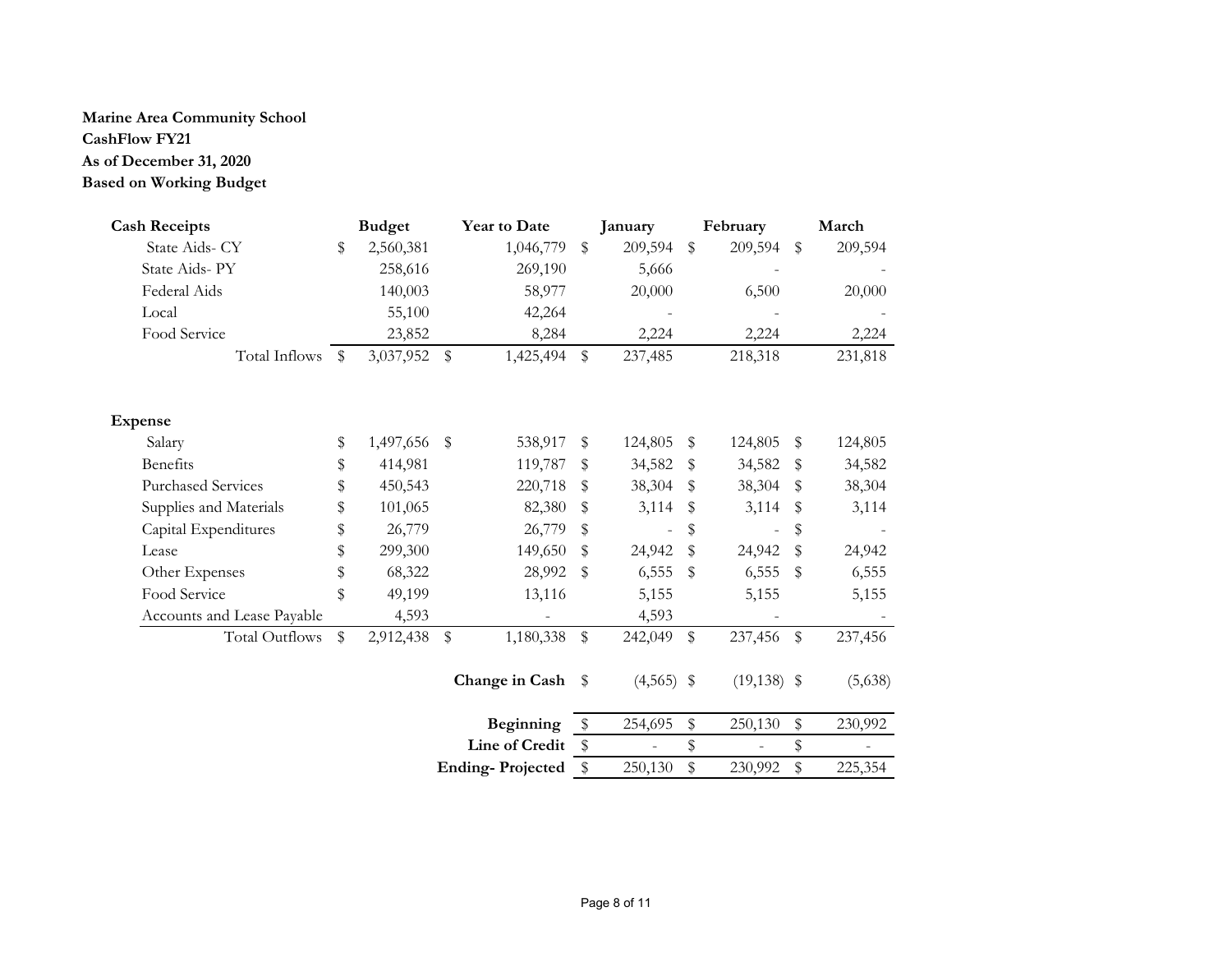#### **Marine Area Community School CashFlow FY21\$ 192,028.59 2,304,343.08 \$**

# **As of December 31, 2020**

# **Based on Working Budget**

| <b>Cash Receipts</b>       |      | <b>Budget</b> |              | Year to Date            |               | January                  |              | February          | March         |
|----------------------------|------|---------------|--------------|-------------------------|---------------|--------------------------|--------------|-------------------|---------------|
| State Aids- CY             | \$   | 2,560,381     |              | 1,046,779               | \$            | 209,594                  | \$           | 209,594           | \$<br>209,594 |
| State Aids-PY              |      | 258,616       |              | 269,190                 |               | 5,666                    |              |                   |               |
| Federal Aids               |      | 140,003       |              | 58,977                  |               | 20,000                   |              | 6,500             | 20,000        |
| Local                      |      | 55,100        |              | 42,264                  |               |                          |              |                   |               |
| Food Service               |      | 23,852        |              | 8,284                   |               | 2,224                    |              | 2,224             | 2,224         |
| Total Inflows              | - \$ | 3,037,952     | $\mathbb{S}$ | 1,425,494               | \$            | 237,485                  |              | 218,318           | 231,818       |
| <b>Expense</b>             |      |               |              |                         |               |                          |              |                   |               |
| Salary                     | \$   | 1,497,656     | \$           | 538,917                 | \$            | 124,805                  | \$           | 124,805           | \$<br>124,805 |
| <b>Benefits</b>            | \$   | 414,981       |              | 119,787                 | \$            | 34,582                   | \$           | 34,582            | \$<br>34,582  |
| <b>Purchased Services</b>  | \$   | 450,543       |              | 220,718                 | $\mathbf{\$}$ | 38,304                   | \$           | 38,304            | \$<br>38,304  |
| Supplies and Materials     | \$   | 101,065       |              | 82,380                  | $\mathbf{\$}$ | 3,114                    | \$           | 3,114             | \$<br>3,114   |
| Capital Expenditures       | \$   | 26,779        |              | 26,779                  | \$            | $\overline{\phantom{a}}$ | \$           | $\qquad \qquad -$ | \$            |
| Lease                      | \$   | 299,300       |              | 149,650                 | \$            | 24,942                   | \$           | 24,942            | \$<br>24,942  |
| Other Expenses             | \$   | 68,322        |              | 28,992                  | \$            | 6,555                    | \$           | 6,555             | \$<br>6,555   |
| Food Service               | \$   | 49,199        |              | 13,116                  |               | 5,155                    |              | 5,155             | 5,155         |
| Accounts and Lease Payable |      | 4,593         |              |                         |               | 4,593                    |              |                   |               |
| <b>Total Outflows</b>      | \$   | 2,912,438     | \$           | 1,180,338               | $\$$          | 242,049                  | $\mathbb{S}$ | 237,456           | \$<br>237,456 |
|                            |      |               |              | Change in Cash \$       |               | $(4,565)$ \$             |              | $(19, 138)$ \$    | (5,638)       |
|                            |      |               |              | Beginning               | \$            | 254,695                  | \$           | 250,130           | \$<br>230,992 |
|                            |      |               |              | Line of Credit          | \$            |                          | \$           |                   | \$            |
|                            |      |               |              | <b>Ending-Projected</b> | \$            | 250,130                  | \$           | 230,992           | \$<br>225,354 |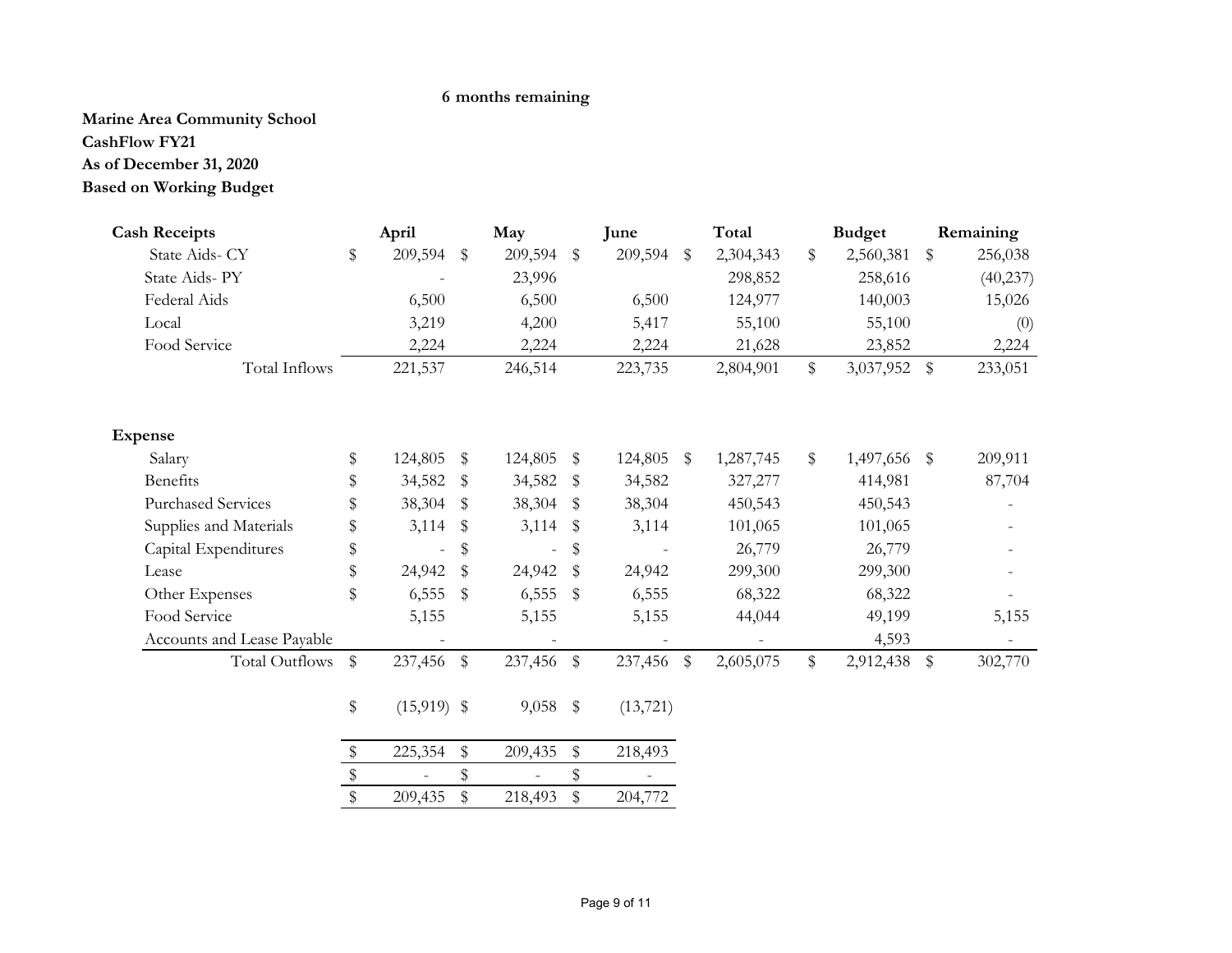# **6 months remaining**

**Marine Area Community School CashFlow FY21 Based on Working Budget As of December 31, 2020**

| <b>Cash Receipts</b>       |                         | April          |              | May            |               | June      |                         | Total     | <b>Budget</b>      |               | Remaining |
|----------------------------|-------------------------|----------------|--------------|----------------|---------------|-----------|-------------------------|-----------|--------------------|---------------|-----------|
| State Aids- CY             | \$                      | 209,594        | $\mathbb{S}$ | 209,594        | $\mathbb{S}$  | 209,594   | \$                      | 2,304,343 | \$<br>2,560,381    | \$            | 256,038   |
| State Aids-PY              |                         |                |              | 23,996         |               |           |                         | 298,852   | 258,616            |               | (40, 237) |
| Federal Aids               |                         | 6,500          |              | 6,500          |               | 6,500     |                         | 124,977   | 140,003            |               | 15,026    |
| Local                      |                         | 3,219          |              | 4,200          |               | 5,417     |                         | 55,100    | 55,100             |               | (0)       |
| Food Service               |                         | 2,224          |              | 2,224          |               | 2,224     |                         | 21,628    | 23,852             |               | 2,224     |
| Total Inflows              |                         | 221,537        |              | 246,514        |               | 223,735   |                         | 2,804,901 | \$<br>3,037,952 \$ |               | 233,051   |
| <b>Expense</b>             |                         |                |              |                |               |           |                         |           |                    |               |           |
| Salary                     | \$                      | 124,805        | \$           | 124,805        | \$            | 124,805   | $\sqrt[6]{\frac{4}{5}}$ | 1,287,745 | \$<br>1,497,656    | $\frac{1}{2}$ | 209,911   |
| <b>Benefits</b>            | \$                      | 34,582         | S            | 34,582         | S             | 34,582    |                         | 327,277   | 414,981            |               | 87,704    |
| <b>Purchased Services</b>  | \$                      | 38,304         | \$           | 38,304         | S             | 38,304    |                         | 450,543   | 450,543            |               |           |
| Supplies and Materials     | \$                      | 3,114          | \$           | 3,114          | $\mathbf{\$}$ | 3,114     |                         | 101,065   | 101,065            |               |           |
| Capital Expenditures       | \$                      | $\overline{a}$ | \$           | $\overline{a}$ | \$            |           |                         | 26,779    | 26,779             |               |           |
| Lease                      | \$                      | 24,942         | \$           | 24,942         | \$            | 24,942    |                         | 299,300   | 299,300            |               |           |
| Other Expenses             | \$                      | 6,555          | \$           | 6,555          | \$            | 6,555     |                         | 68,322    | 68,322             |               |           |
| Food Service               |                         | 5,155          |              | 5,155          |               | 5,155     |                         | 44,044    | 49,199             |               | 5,155     |
| Accounts and Lease Payable |                         |                |              |                |               |           |                         |           | 4,593              |               |           |
| Total Outflows             | $\$$                    | 237,456        | $\$$         | 237,456        | $\$\,$        | 237,456   | $\sqrt[6]{\frac{1}{2}}$ | 2,605,075 | \$<br>2,912,438    | $\$\$         | 302,770   |
|                            | $\boldsymbol{\$}$       | $(15,919)$ \$  |              | 9,058          | $\frac{1}{2}$ | (13, 721) |                         |           |                    |               |           |
|                            | \$                      | 225,354        | \$           | 209,435        | \$            | 218,493   |                         |           |                    |               |           |
|                            | $\,$                    |                | \$           | $\overline{a}$ | \$            |           |                         |           |                    |               |           |
|                            | $\sqrt[6]{\frac{1}{2}}$ | 209,435        | \$           | 218,493        | \$            | 204,772   |                         |           |                    |               |           |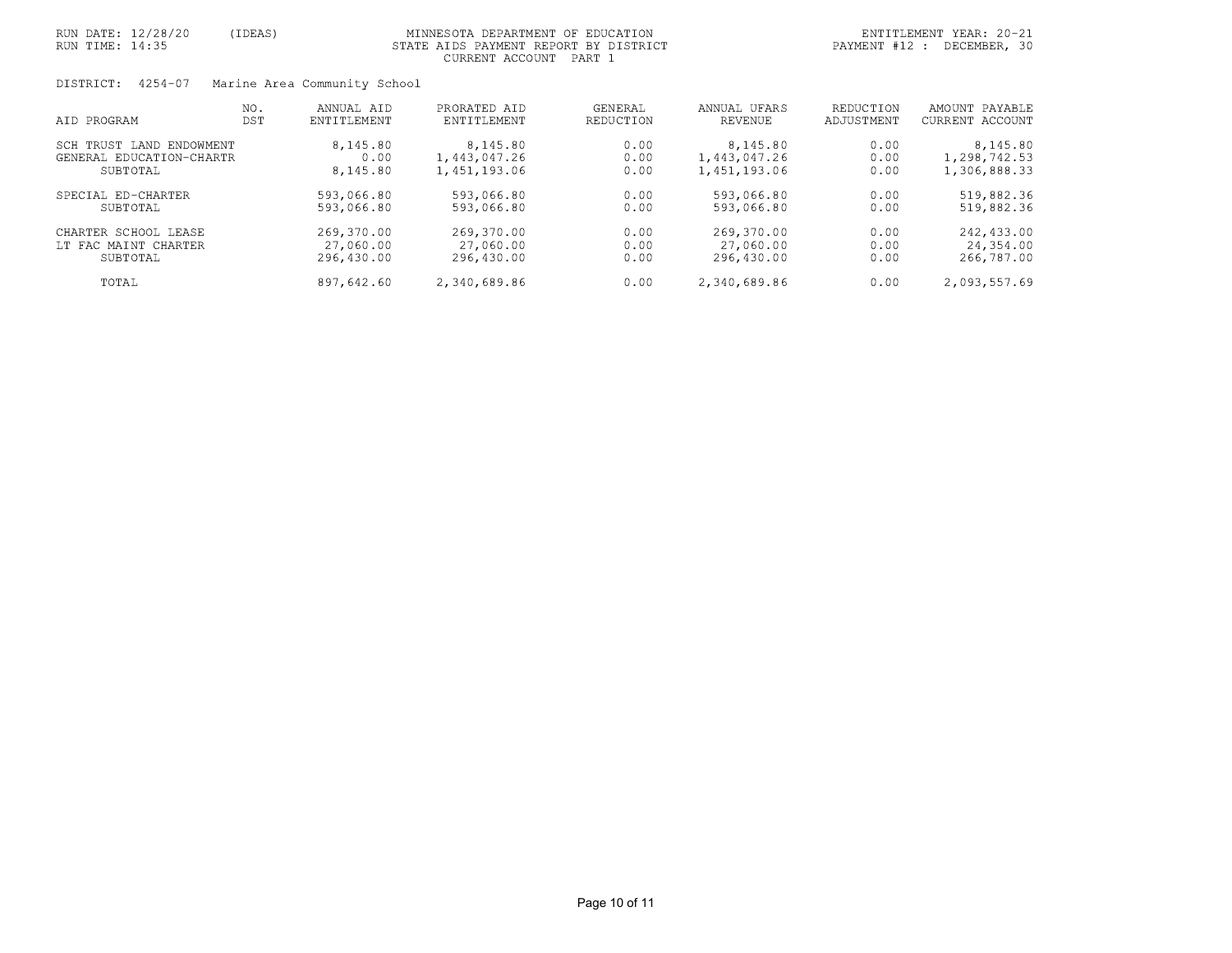| RUN DATE: 12/28/20<br>RUN TIME: 14:35 | (IDEAS) |                                            | MINNESOTA DEPARTMENT OF EDUCATION<br>STATE AIDS PAYMENT REPORT BY DISTRICT<br>CURRENT ACCOUNT PART 1 |              |                              |              | ENTITLEMENT YEAR: 20-21<br>PAYMENT #12 : DECEMBER, 30 |
|---------------------------------------|---------|--------------------------------------------|------------------------------------------------------------------------------------------------------|--------------|------------------------------|--------------|-------------------------------------------------------|
| DISTRICT: 4254-07                     | NO.     | Marine Area Community School<br>ANNUAL AID | PRORATED AID                                                                                         | GENERAL      | ANNUAL UFARS                 | REDUCTION    | AMOUNT PAYABLE                                        |
| AID PROGRAM                           | DST     | ENTITLEMENT                                | ENTITLEMENT                                                                                          | REDUCTION    | <b>REVENUE</b>               | ADJUSTMENT   | CURRENT ACCOUNT                                       |
| SCH TRUST LAND ENDOWMENT              |         | 8,145.80                                   | 8,145.80                                                                                             | 0.00         | 8,145.80                     | 0.00         | 8,145.80                                              |
| GENERAL EDUCATION-CHARTR<br>SUBTOTAL  |         | 0.00<br>8,145.80                           | 1,443,047.26<br>1,451,193.06                                                                         | 0.00<br>0.00 | 1,443,047.26<br>1,451,193.06 | 0.00<br>0.00 | 1,298,742.53<br>1,306,888.33                          |
|                                       |         |                                            |                                                                                                      |              |                              |              |                                                       |
| SPECIAL ED-CHARTER                    |         | 593,066.80                                 | 593,066.80                                                                                           | 0.00         | 593,066.80                   | 0.00         | 519,882.36                                            |
| SUBTOTAL                              |         | 593,066.80                                 | 593,066.80                                                                                           | 0.00         | 593,066.80                   | 0.00         | 519,882.36                                            |
| CHARTER SCHOOL LEASE                  |         | 269,370.00                                 | 269,370.00                                                                                           | 0.00         | 269,370.00                   | 0.00         | 242,433.00                                            |
| LT FAC MAINT CHARTER                  |         | 27,060.00                                  | 27,060.00                                                                                            | 0.00         | 27,060.00                    | 0.00         | 24,354.00                                             |
| SUBTOTAL                              |         | 296,430.00                                 | 296,430.00                                                                                           | 0.00         | 296,430.00                   | 0.00         | 266,787.00                                            |
| TOTAL                                 |         | 897,642.60                                 | 2,340,689.86                                                                                         | 0.00         | 2,340,689.86                 | 0.00         | 2,093,557.69                                          |